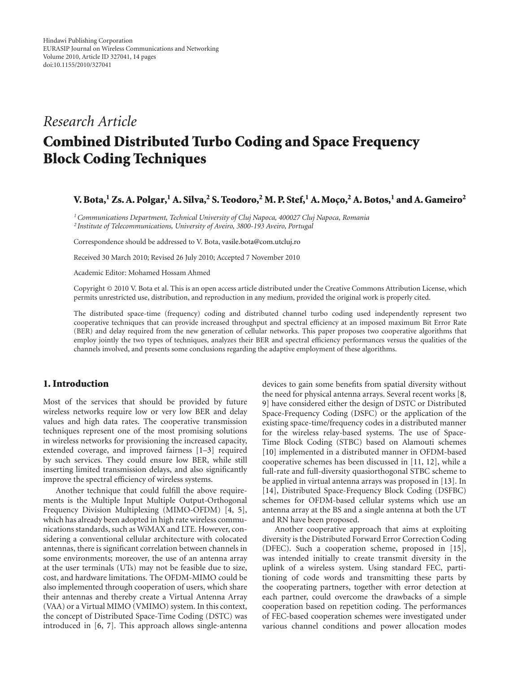**Block Coding Techniques**

# *Research Article* **Combined Distributed Turbo Coding and Space Frequency**

# **V. Bota,1 Zs. A. Polgar,1 A. Silva,2 S. Teodoro,2 M. P. Stef,1 A. Moc¸o,2 A. Botos,1 and A. Gameiro2**

*1Communications Department, Technical University of Cluj Napoca, 400027 Cluj Napoca, Romania <sup>2</sup> Institute of Telecommunications, University of Aveiro, 3800-193 Aveiro, Portugal*

Correspondence should be addressed to V. Bota, [vasile.bota@com.utcluj.ro](mailto:vasile.bota@com.utcluj.ro)

Received 30 March 2010; Revised 26 July 2010; Accepted 7 November 2010

Academic Editor: Mohamed Hossam Ahmed

Copyright © 2010 V. Bota et al. This is an open access article distributed under the Creative Commons Attribution License, which permits unrestricted use, distribution, and reproduction in any medium, provided the original work is properly cited.

The distributed space-time (frequency) coding and distributed channel turbo coding used independently represent two cooperative techniques that can provide increased throughput and spectral efficiency at an imposed maximum Bit Error Rate (BER) and delay required from the new generation of cellular networks. This paper proposes two cooperative algorithms that employ jointly the two types of techniques, analyzes their BER and spectral efficiency performances versus the qualities of the channels involved, and presents some conclusions regarding the adaptive employment of these algorithms.

# **1. Introduction**

Most of the services that should be provided by future wireless networks require low or very low BER and delay values and high data rates. The cooperative transmission techniques represent one of the most promising solutions in wireless networks for provisioning the increased capacity, extended coverage, and improved fairness [\[1](#page-12-1)[–3\]](#page-12-2) required by such services. They could ensure low BER, while still inserting limited transmission delays, and also significantly improve the spectral efficiency of wireless systems.

Another technique that could fulfill the above requirements is the Multiple Input Multiple Output-Orthogonal Frequency Division Multiplexing (MIMO-OFDM) [\[4,](#page-12-3) [5\]](#page-12-4), which has already been adopted in high rate wireless communications standards, such as WiMAX and LTE. However, considering a conventional cellular architecture with colocated antennas, there is significant correlation between channels in some environments; moreover, the use of an antenna array at the user terminals (UTs) may not be feasible due to size, cost, and hardware limitations. The OFDM-MIMO could be also implemented through cooperation of users, which share their antennas and thereby create a Virtual Antenna Array (VAA) or a Virtual MIMO (VMIMO) system. In this context, the concept of Distributed Space-Time Coding (DSTC) was introduced in [\[6](#page-12-5), [7\]](#page-12-6). This approach allows single-antenna

devices to gain some benefits from spatial diversity without the need for physical antenna arrays. Several recent works [\[8](#page-12-7), [9](#page-12-8)] have considered either the design of DSTC or Distributed Space-Frequency Coding (DSFC) or the application of the existing space-time/frequency codes in a distributed manner for the wireless relay-based systems. The use of Space-Time Block Coding (STBC) based on Alamouti schemes [\[10\]](#page-12-9) implemented in a distributed manner in OFDM-based cooperative schemes has been discussed in [\[11](#page-12-10), [12](#page-12-11)], while a full-rate and full-diversity quasiorthogonal STBC scheme to be applied in virtual antenna arrays was proposed in [\[13\]](#page-12-12). In [\[14\]](#page-12-13), Distributed Space-Frequency Block Coding (DSFBC) schemes for OFDM-based cellular systems which use an antenna array at the BS and a single antenna at both the UT and RN have been proposed.

Another cooperative approach that aims at exploiting diversity is the Distributed Forward Error Correction Coding (DFEC). Such a cooperation scheme, proposed in [\[15\]](#page-12-14), was intended initially to create transmit diversity in the uplink of a wireless system. Using standard FEC, partitioning of code words and transmitting these parts by the cooperating partners, together with error detection at each partner, could overcome the drawbacks of a simple cooperation based on repetition coding. The performances of FEC-based cooperation schemes were investigated under various channel conditions and power allocation modes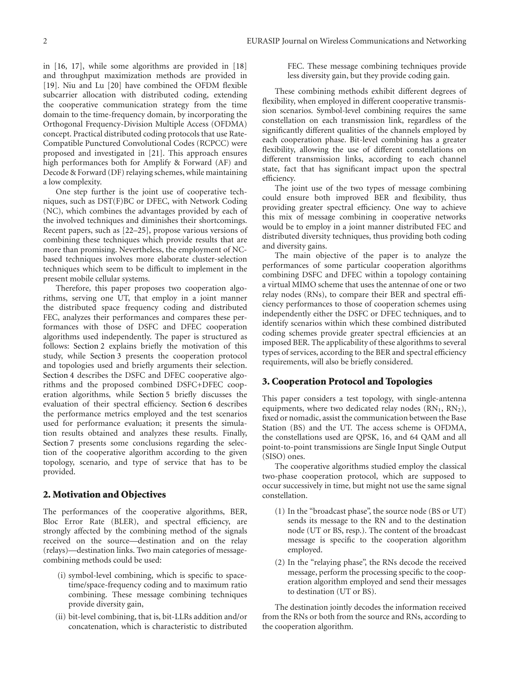in [\[16,](#page-12-15) [17](#page-12-16)], while some algorithms are provided in [\[18](#page-12-17)] and throughput maximization methods are provided in [\[19\]](#page-12-18). Niu and Lu [\[20\]](#page-12-19) have combined the OFDM flexible subcarrier allocation with distributed coding, extending the cooperative communication strategy from the time domain to the time-frequency domain, by incorporating the Orthogonal Frequency-Division Multiple Access (OFDMA) concept. Practical distributed coding protocols that use Rate-Compatible Punctured Convolutional Codes (RCPCC) were proposed and investigated in [\[21\]](#page-12-20). This approach ensures high performances both for Amplify & Forward (AF) and Decode & Forward (DF) relaying schemes, while maintaining a low complexity.

One step further is the joint use of cooperative techniques, such as DST(F)BC or DFEC, with Network Coding (NC), which combines the advantages provided by each of the involved techniques and diminishes their shortcomings. Recent papers, such as [\[22](#page-12-21)[–25\]](#page-12-22), propose various versions of combining these techniques which provide results that are more than promising. Nevertheless, the employment of NCbased techniques involves more elaborate cluster-selection techniques which seem to be difficult to implement in the present mobile cellular systems.

Therefore, this paper proposes two cooperation algorithms, serving one UT, that employ in a joint manner the distributed space frequency coding and distributed FEC, analyzes their performances and compares these performances with those of DSFC and DFEC cooperation algorithms used independently. The paper is structured as follows: [Section 2](#page-1-0) explains briefly the motivation of this study, while [Section 3](#page-1-1) presents the cooperation protocol and topologies used and briefly arguments their selection. [Section 4](#page-2-0) describes the DSFC and DFEC cooperative algorithms and the proposed combined DSFC+DFEC cooperation algorithms, while [Section 5](#page-6-0) briefly discusses the evaluation of their spectral efficiency. [Section 6](#page-6-1) describes the performance metrics employed and the test scenarios used for performance evaluation; it presents the simulation results obtained and analyzes these results. Finally, [Section 7](#page-10-0) presents some conclusions regarding the selection of the cooperative algorithm according to the given topology, scenario, and type of service that has to be provided.

#### <span id="page-1-0"></span>**2. Motivation and Objectives**

The performances of the cooperative algorithms, BER, Bloc Error Rate (BLER), and spectral efficiency, are strongly affected by the combining method of the signals received on the source—destination and on the relay (relays)—destination links. Two main categories of messagecombining methods could be used:

- (i) symbol-level combining, which is specific to spacetime/space-frequency coding and to maximum ratio combining. These message combining techniques provide diversity gain,
- (ii) bit-level combining, that is, bit-LLRs addition and/or concatenation, which is characteristic to distributed

FEC. These message combining techniques provide less diversity gain, but they provide coding gain.

These combining methods exhibit different degrees of flexibility, when employed in different cooperative transmission scenarios. Symbol-level combining requires the same constellation on each transmission link, regardless of the significantly different qualities of the channels employed by each cooperation phase. Bit-level combining has a greater flexibility, allowing the use of different constellations on different transmission links, according to each channel state, fact that has significant impact upon the spectral efficiency.

The joint use of the two types of message combining could ensure both improved BER and flexibility, thus providing greater spectral efficiency. One way to achieve this mix of message combining in cooperative networks would be to employ in a joint manner distributed FEC and distributed diversity techniques, thus providing both coding and diversity gains.

The main objective of the paper is to analyze the performances of some particular cooperation algorithms combining DSFC and DFEC within a topology containing a virtual MIMO scheme that uses the antennae of one or two relay nodes (RNs), to compare their BER and spectral efficiency performances to those of cooperation schemes using independently either the DSFC or DFEC techniques, and to identify scenarios within which these combined distributed coding schemes provide greater spectral efficiencies at an imposed BER. The applicability of these algorithms to several types of services, according to the BER and spectral efficiency requirements, will also be briefly considered.

#### <span id="page-1-1"></span>**3. Cooperation Protocol and Topologies**

This paper considers a test topology, with single-antenna equipments, where two dedicated relay nodes  $(RN_1, RN_2)$ , fixed or nomadic, assist the communication between the Base Station (BS) and the UT. The access scheme is OFDMA, the constellations used are QPSK, 16, and 64 QAM and all point-to-point transmissions are Single Input Single Output (SISO) ones.

The cooperative algorithms studied employ the classical two-phase cooperation protocol, which are supposed to occur successively in time, but might not use the same signal constellation.

- (1) In the "broadcast phase", the source node (BS or UT) sends its message to the RN and to the destination node (UT or BS, resp.). The content of the broadcast message is specific to the cooperation algorithm employed.
- (2) In the "relaying phase", the RNs decode the received message, perform the processing specific to the cooperation algorithm employed and send their messages to destination (UT or BS).

The destination jointly decodes the information received from the RNs or both from the source and RNs, according to the cooperation algorithm.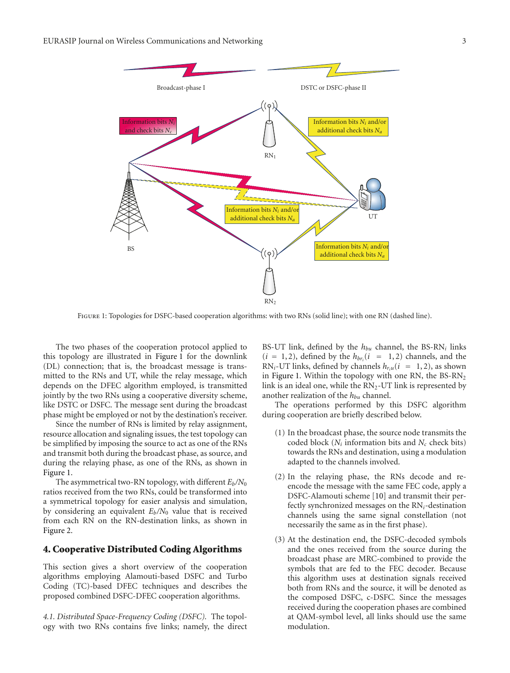

<span id="page-2-1"></span>Figure 1: Topologies for DSFC-based cooperation algorithms: with two RNs (solid line); with one RN (dashed line).

The two phases of the cooperation protocol applied to this topology are illustrated in [Figure 1](#page-2-1) for the downlink (DL) connection; that is, the broadcast message is transmitted to the RNs and UT, while the relay message, which depends on the DFEC algorithm employed, is transmitted jointly by the two RNs using a cooperative diversity scheme, like DSTC or DSFC. The message sent during the broadcast phase might be employed or not by the destination's receiver.

Since the number of RNs is limited by relay assignment, resource allocation and signaling issues, the test topology can be simplified by imposing the source to act as one of the RNs and transmit both during the broadcast phase, as source, and during the relaying phase, as one of the RNs, as shown in [Figure 1.](#page-2-1)

The asymmetrical two-RN topology, with different *Eb/N*<sup>0</sup> ratios received from the two RNs, could be transformed into a symmetrical topology for easier analysis and simulation, by considering an equivalent *Eb/N*<sup>0</sup> value that is received from each RN on the RN-destination links, as shown in [Figure 2.](#page-3-0)

#### <span id="page-2-0"></span>**4. Cooperative Distributed Coding Algorithms**

This section gives a short overview of the cooperation algorithms employing Alamouti-based DSFC and Turbo Coding (TC)-based DFEC techniques and describes the proposed combined DSFC-DFEC cooperation algorithms.

<span id="page-2-2"></span>*4.1. Distributed Space-Frequency Coding (DSFC).* The topology with two RNs contains five links; namely, the direct

BS-UT link, defined by the  $h_{bu}$  channel, the BS-RN<sub>i</sub> links  $(i = 1, 2)$ , defined by the  $h_{b r_i}(i = 1, 2)$  channels, and the RN<sub>i</sub>-UT links, defined by channels  $h_{r_iu}(i = 1, 2)$ , as shown in [Figure 1.](#page-2-1) Within the topology with one RN, the  $BS-RN<sub>2</sub>$ link is an ideal one, while the  $RN_2$ -UT link is represented by another realization of the *hbu* channel.

The operations performed by this DSFC algorithm during cooperation are briefly described below.

- (1) In the broadcast phase, the source node transmits the coded block  $(N_i$  information bits and  $N_c$  check bits) towards the RNs and destination, using a modulation adapted to the channels involved.
- (2) In the relaying phase, the RNs decode and reencode the message with the same FEC code, apply a DSFC-Alamouti scheme [\[10](#page-12-9)] and transmit their perfectly synchronized messages on the RN*i*-destination channels using the same signal constellation (not necessarily the same as in the first phase).
- (3) At the destination end, the DSFC-decoded symbols and the ones received from the source during the broadcast phase are MRC-combined to provide the symbols that are fed to the FEC decoder. Because this algorithm uses at destination signals received both from RNs and the source, it will be denoted as the composed DSFC, c-DSFC*.* Since the messages received during the cooperation phases are combined at QAM-symbol level, all links should use the same modulation.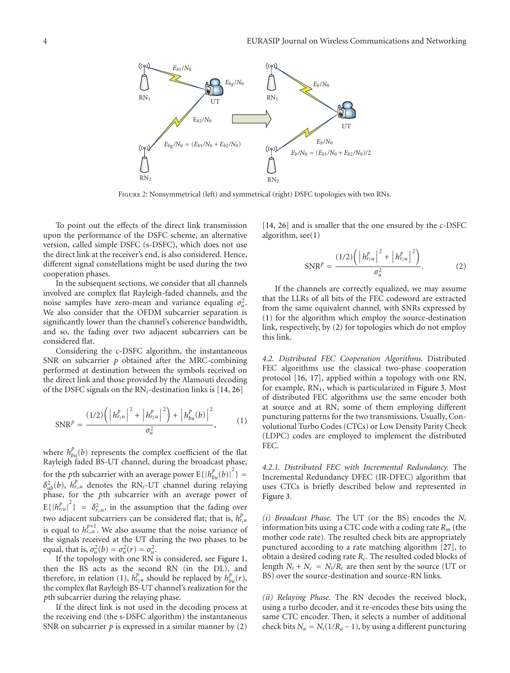

<span id="page-3-0"></span>Figure 2: Nonsymmetrical (left) and symmetrical (right) DSFC topologies with two RNs.

To point out the effects of the direct link transmission upon the performance of the DSFC scheme, an alternative version, called simple DSFC (s-DSFC), which does not use the direct link at the receiver's end, is also considered. Hence, different signal constellations might be used during the two cooperation phases.

In the subsequent sections, we consider that all channels involved are complex flat Rayleigh-faded channels, and the noise samples have zero-mean and variance equaling  $\sigma_u^2$ . We also consider that the OFDM subcarrier separation is significantly lower than the channel's coherence bandwidth, and so, the fading over two adjacent subcarriers can be considered flat.

Considering the c-DSFC algorithm, the instantaneous SNR on subcarrier *p* obtained after the MRC-combining performed at destination between the symbols received on the direct link and those provided by the Alamouti decoding of the DSFC signals on the RN*i*-destination links is [\[14](#page-12-13), [26\]](#page-13-0)

$$
SNR^{p} = \frac{(1/2)\left(\left|h_{r_{1}u}^{p}\right|^{2} + \left|h_{r_{2}u}^{p}\right|^{2}\right) + \left|h_{bu}^{p}(b)\right|^{2}}{\sigma_{u}^{2}}, \quad (1)
$$

where  $h_{bu}^{p}(b)$  represents the complex coefficient of the flat Rayleigh faded BS-UT channel, during the broadcast phase, for the *p*th subcarrier with an average power  $E\{|h_{bu}^p(b)|^2\} =$  $\delta^2_{ub}(b)$ ,  $h^p_{r_i,u}$  denotes the RN<sub>i</sub>-UT channel during relaying phase, for the *p*th subcarrier with an average power of  $E\{|h_{r_iu}^p|^2\} = \delta_{r_i,u}^2$ , in the assumption that the fading over two adjacent subcarriers can be considered flat; that is, *h<sup>p</sup> riu* is equal to  $h_{r_i,u}^{p+1}$ . We also assume that the noise variance of the signals received at the UT during the two phases to be equal, that is,  $\sigma_u^2(b) = \sigma_u^2(r) = \sigma_u^2$ .

If the topology with one RN is considered, see [Figure 1,](#page-2-1) then the BS acts as the second RN (in the DL), and therefore, in relation [\(1\)](#page-3-1),  $h_{r_2u}^p$  should be replaced by  $h_{bu}^p(r)$ , the complex flat Rayleigh BS-UT channel's realization for the *p*th subcarrier during the relaying phase.

If the direct link is not used in the decoding process at the receiving end (the s-DSFC algorithm) the instantaneous SNR on subcarrier  $p$  is expressed in a similar manner by  $(2)$  [\[14,](#page-12-13) [26\]](#page-13-0) and is smaller that the one ensured by the c-DSFC algorithm, see[\(1\)](#page-3-1)

<span id="page-3-2"></span>
$$
SNR^{p} = \frac{(1/2)\left(\left|h_{r_{1}u}^{p}\right|^{2} + \left|h_{r_{2}u}^{p}\right|^{2}\right)}{\sigma_{u}^{2}}.
$$
 (2)

If the channels are correctly equalized, we may assume that the LLRs of all bits of the FEC codeword are extracted from the same equivalent channel, with SNRs expressed by [\(1\)](#page-3-1) for the algorithm which employ the source-destination link, respectively, by [\(2\)](#page-3-2) for topologies which do not employ this link.

*4.2. Distributed FEC Cooperation Algorithms.* Distributed FEC algorithms use the classical two-phase cooperation protocol [\[16](#page-12-15), [17\]](#page-12-16), applied within a topology with one RN, for example,  $RN<sub>1</sub>$ , which is particularized in [Figure 3.](#page-5-0) Most of distributed FEC algorithms use the same encoder both at source and at RN, some of them employing different puncturing patterns for the two transmissions. Usually, Convolutional Turbo Codes (CTCs) or Low Density Parity Check (LDPC) codes are employed to implement the distributed FEC.

<span id="page-3-3"></span><span id="page-3-1"></span>*4.2.1. Distributed FEC with Incremental Redundancy.* The Incremental Redundancy DFEC (IR-DFEC) algorithm that uses CTCs is briefly described below and represented in [Figure 3.](#page-5-0)

*(i) Broadcast Phase.* The UT (or the BS) encodes the *Ni* information bits using a CTC code with a coding rate *Rm* (the mother code rate). The resulted check bits are appropriately punctured according to a rate matching algorithm [\[27](#page-13-1)], to obtain a desired coding rate *Rc*. The resulted coded blocks of length  $N_i + N_c = N_i/R_c$  are then sent by the source (UT or BS) over the source-destination and source-RN links.

*(ii) Relaying Phase.* The RN decodes the received block, using a turbo decoder, and it re-encodes these bits using the same CTC encoder. Then, it selects a number of additional check bits  $N_a = N_i(1/R_a - 1)$ , by using a different puncturing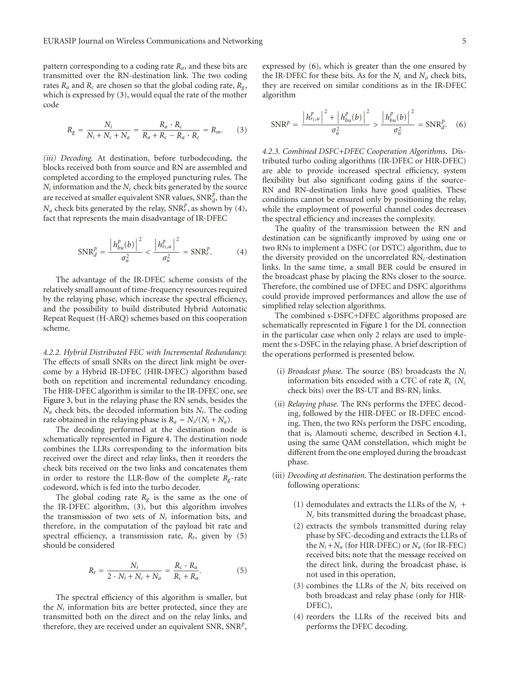pattern corresponding to a coding rate *Ra*, and these bits are transmitted over the RN-destination link. The two coding rates  $R_a$  and  $R_c$  are chosen so that the global coding rate,  $R_g$ , which is expressed by [\(3\)](#page-4-0), would equal the rate of the mother code

$$
R_g = \frac{N_i}{N_i + N_c + N_a} = \frac{R_a \cdot R_c}{R_a + R_c - R_a \cdot R_c} = R_m.
$$
 (3)

*(iii) Decoding.* At destination, before turbodecoding, the blocks received both from source and RN are assembled and completed according to the employed puncturing rules. The  $N_i$  information and the  $N_c$  check bits generated by the source are received at smaller equivalent SNR values,  $\text{SNR}_d^p$ , than the  $N_a$  check bits generated by the relay,  $SNR_r^p$ , as shown by [\(4\)](#page-4-1), fact that represents the main disadvantage of IR-DFEC

$$
\text{SNR}_{d}^{p} = \frac{\left|h_{bu}^{p}(b)\right|^{2}}{\sigma_{u}^{2}} < \frac{\left|h_{r_{1},u}^{p}\right|^{2}}{\sigma_{u}^{2}} = \text{SNR}_{r}^{p}.\tag{4}
$$

The advantage of the IR-DFEC scheme consists of the relatively small amount of time-frequency resources required by the relaying phase, which increase the spectral efficiency, and the possibility to build distributed Hybrid Automatic Repeat Request (H-ARQ) schemes based on this cooperation scheme.

<span id="page-4-4"></span>*4.2.2. Hybrid Distributed FEC with Incremental Redundancy.* The effects of small SNRs on the direct link might be overcome by a Hybrid IR-DFEC (HIR-DFEC) algorithm based both on repetition and incremental redundancy encoding. The HIR-DFEC algorithm is similar to the IR-DFEC one, see [Figure 3,](#page-5-0) but in the relaying phase the RN sends, besides the *Na* check bits, the decoded information bits *Ni*. The coding rate obtained in the relaying phase is  $R_a = N_i/(N_i + N_a)$ .

The decoding performed at the destination node is schematically represented in [Figure 4.](#page-5-1) The destination node combines the LLRs corresponding to the information bits received over the direct and relay links, then it reorders the check bits received on the two links and concatenates them in order to restore the LLR-flow of the complete  $R_g$ -rate codeword, which is fed into the turbo decoder.

The global coding rate  $R_g$  is the same as the one of the IR-DFEC algorithm, [\(3\)](#page-4-0), but this algorithm involves the transmission of two sets of  $N_i$  information bits, and therefore, in the computation of the payload bit rate and spectral efficiency, a transmission rate,  $R_t$ , given by  $(5)$ should be considered

$$
R_t = \frac{N_i}{2 \cdot N_i + N_c + N_a} = \frac{R_c \cdot R_a}{R_c + R_a}.\tag{5}
$$

The spectral efficiency of this algorithm is smaller, but the  $N_i$  information bits are better protected, since they are transmitted both on the direct and on the relay links, and therefore, they are received under an equivalent SNR, SNR*<sup>p</sup> ,*

expressed by [\(6\)](#page-4-3), which is greater than the one ensured by the IR-DFEC for these bits. As for the  $N_c$  and  $N_a$  check bits, they are received on similar conditions as in the IR-DFEC algorithm

<span id="page-4-3"></span>
$$
\text{SNR}^{p} = \frac{\left|h_{r_{1},u}^{p}\right|^{2} + \left|h_{bu}^{p}(b)\right|^{2}}{\sigma_{u}^{2}} > \frac{\left|h_{bu}^{p}(b)\right|^{2}}{\sigma_{u}^{2}} = \text{SNR}_{d}^{p}.\quad(6)
$$

<span id="page-4-0"></span>*4.2.3. Combined DSFC+DFEC Cooperation Algorithms.* Distributed turbo coding algorithms (IR-DFEC or HIR-DFEC) are able to provide increased spectral efficiency, system flexibility but also significant coding gains if the source-RN and RN-destination links have good qualities. These conditions cannot be ensured only by positioning the relay, while the employment of powerful channel codes decreases the spectral efficiency and increases the complexity.

<span id="page-4-1"></span>The quality of the transmission between the RN and destination can be significantly improved by using one or two RNs to implement a DSFC (or DSTC) algorithm, due to the diversity provided on the uncorrelated RN*i*-destination links. In the same time, a small BER could be ensured in the broadcast phase by placing the RNs closer to the source. Therefore, the combined use of DFEC and DSFC algorithms could provide improved performances and allow the use of simplified relay selection algorithms.

The combined s-DSFC+DFEC algorithms proposed are schematically represented in [Figure 1](#page-2-1) for the DL connection in the particular case when only 2 relays are used to implement the s-DSFC in the relaying phase. A brief description of the operations performed is presented below.

- (i) *Broadcast phase.* The source (BS) broadcasts the *Ni* information bits encoded with a CTC of rate *Rc* (*Nc* check bits) over the BS-UT and BS-RN*<sup>i</sup>* links.
- (ii) *Relaying phase.* The RNs performs the DFEC decoding, followed by the HIR-DFEC or IR-DFEC encoding. Then, the two RNs perform the DSFC encoding, that is, Alamouti scheme, described in [Section 4.1,](#page-2-2) using the same QAM constellation, which might be different from the one employed during the broadcast phase.
- <span id="page-4-2"></span>(iii) *Decoding at destination.* The destination performs the following operations:
	- (1) demodulates and extracts the LLRs of the  $N_i$  + *Nc* bits transmitted during the broadcast phase,
	- (2) extracts the symbols transmitted during relay phase by SFC-decoding and extracts the LLRs of the  $N_i + N_a$  (for HIR-DFEC) or  $N_a$  (for IR-FEC) received bits; note that the message received on the direct link, during the broadcast phase, is not used in this operation,
	- (3) combines the LLRs of the *Ni* bits received on both broadcast and relay phase (only for HIR-DFEC),
	- (4) reorders the LLRs of the received bits and performs the DFEC decoding.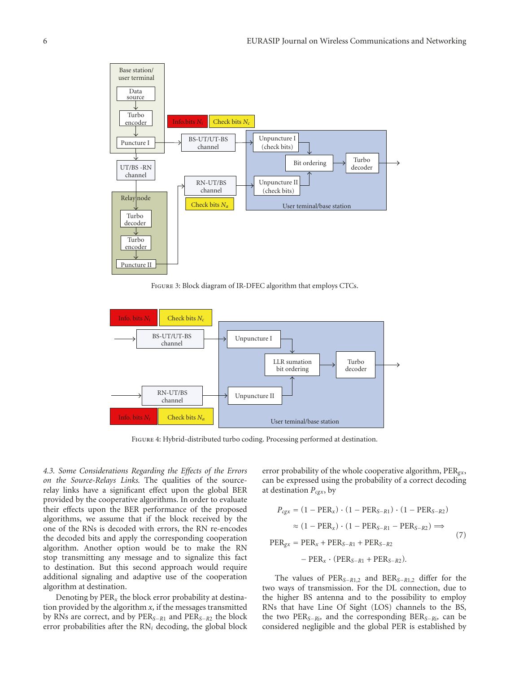

<span id="page-5-0"></span>Figure 3: Block diagram of IR-DFEC algorithm that employs CTCs.



<span id="page-5-1"></span>Figure 4: Hybrid-distributed turbo coding. Processing performed at destination.

*4.3. Some Considerations Regarding the Effects of the Errors on the Source-Relays Links.* The qualities of the sourcerelay links have a significant effect upon the global BER provided by the cooperative algorithms. In order to evaluate their effects upon the BER performance of the proposed algorithms, we assume that if the block received by the one of the RNs is decoded with errors, the RN re-encodes the decoded bits and apply the corresponding cooperation algorithm. Another option would be to make the RN stop transmitting any message and to signalize this fact to destination. But this second approach would require additional signaling and adaptive use of the cooperation algorithm at destination.

Denoting by  $PER_x$  the block error probability at destination provided by the algorithm *x,* if the messages transmitted by RNs are correct, and by PER*<sup>S</sup>*−*R*<sup>1</sup> and PER*<sup>S</sup>*−*R*<sup>2</sup> the block error probabilities after the RN*<sup>i</sup>* decoding, the global block error probability of the whole cooperative algorithm, PER*gx*, can be expressed using the probability of a correct decoding at destination  $P_{cgx}$ , by

<span id="page-5-2"></span>
$$
P_{cgx} = (1 - PER_x) \cdot (1 - PER_{S-R1}) \cdot (1 - PER_{S-R2})
$$
  
\n
$$
\approx (1 - PER_x) \cdot (1 - PER_{S-R1} - PER_{S-R2}) \implies
$$
  
\n
$$
PER_{gx} = PER_x + PER_{S-R1} + PER_{S-R2}
$$
  
\n
$$
- PER_x \cdot (PER_{S-R1} + PER_{S-R2}).
$$
  
\n(7)

The values of PER*<sup>S</sup>*−*R*1,2 and BER*<sup>S</sup>*−*R*1,2 differ for the two ways of transmission. For the DL connection, due to the higher BS antenna and to the possibility to employ RNs that have Line Of Sight (LOS) channels to the BS, the two PER*<sup>S</sup>*−*R*<sup>i</sup>*,* and the corresponding BER*<sup>S</sup>*−*R*<sup>i</sup>*,* can be considered negligible and the global PER is established by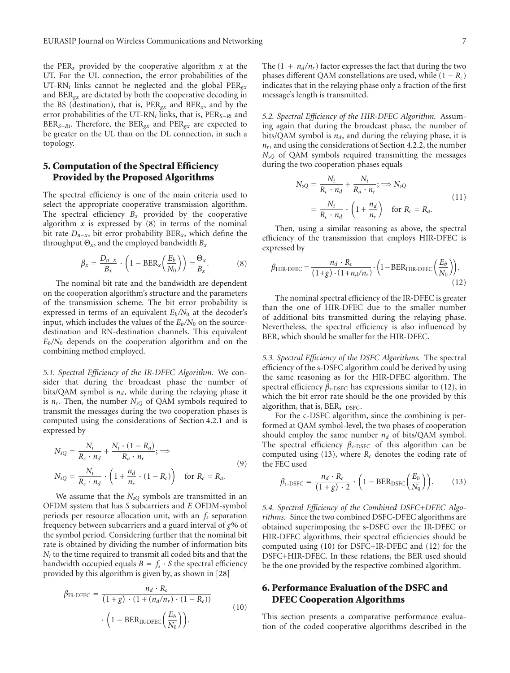the  $PER<sub>x</sub>$  provided by the cooperative algorithm  $x$  at the UT. For the UL connection, the error probabilities of the UT-RN*<sup>i</sup>* links cannot be neglected and the global PER*gx* and BER*gx* are dictated by both the cooperative decoding in the BS (destination), that is, PER*gx* and BER*x*, and by the error probabilities of the UT-RN*<sup>i</sup>* links, that is, PER*S*−*R*<sup>i</sup> and BER*S*−*<sup>R</sup>*i. Therefore, the BER*gx* and PER*gx* are expected to be greater on the UL than on the DL connection, in such a topology.

# <span id="page-6-0"></span>**5. Computation of the Spectral Efficiency Provided by the Proposed Algorithms**

The spectral efficiency is one of the main criteria used to select the appropriate cooperative transmission algorithm. The spectral efficiency  $B_x$  provided by the cooperative algorithm  $x$  is expressed by  $(8)$  in terms of the nominal bit rate *Dn*−*<sup>x</sup>*, bit error probability BER*x*, which define the throughput Θ*x*, and the employed bandwidth *Bx*

$$
\beta_x = \frac{D_{n-x}}{B_x} \cdot \left(1 - \text{BER}_x \left(\frac{E_b}{N_0}\right)\right) = \frac{\Theta_x}{B_x}.\tag{8}
$$

The nominal bit rate and the bandwidth are dependent on the cooperation algorithm's structure and the parameters of the transmission scheme. The bit error probability is expressed in terms of an equivalent  $E_b/N_0$  at the decoder's input, which includes the values of the  $E_b/N_0$  on the sourcedestination and RN-destination channels. This equivalent  $E_b/N_0$  depends on the cooperation algorithm and on the combining method employed.

*5.1. Spectral Efficiency of the IR-DFEC Algorithm.* We consider that during the broadcast phase the number of bits/QAM symbol is  $n_d$ , while during the relaying phase it is  $n_r$ . Then, the number  $N_{sQ}$  of QAM symbols required to transmit the messages during the two cooperation phases is computed using the considerations of [Section 4.2.1](#page-3-3) and is expressed by

$$
N_{sQ} = \frac{N_i}{R_c \cdot n_d} + \frac{N_i \cdot (1 - R_a)}{R_a \cdot n_r}; \implies
$$
  

$$
N_{sQ} = \frac{N_i}{R_c \cdot n_d} \cdot \left(1 + \frac{n_d}{n_r} \cdot (1 - R_c)\right) \quad \text{for } R_c = R_a.
$$
 (9)

We assume that the *NsQ* symbols are transmitted in an OFDM system that has *S* subcarriers and *E* OFDM-symbol periods per resource allocation unit, with an *fs* separation frequency between subcarriers and a guard interval of *g*% of the symbol period. Considering further that the nominal bit rate is obtained by dividing the number of information bits *Ni* to the time required to transmit all coded bits and that the bandwidth occupied equals  $B = f_s \cdot S$  the spectral efficiency provided by this algorithm is given by, as shown in [\[28](#page-13-2)]

$$
\beta_{\text{IR-DFEC}} = \frac{n_d \cdot R_c}{(1+g) \cdot (1 + (n_d/n_r) \cdot (1 - R_c))}
$$

$$
\cdot \left(1 - \text{BER}_{\text{IR-DFEC}}\left(\frac{E_b}{N_0}\right)\right). \tag{10}
$$

The  $(1 + n_d/n_r)$  factor expresses the fact that during the two phases different QAM constellations are used, while (1 − *Rc*) indicates that in the relaying phase only a fraction of the first message's length is transmitted.

*5.2. Spectral Efficiency of the HIR-DFEC Algorithm.* Assuming again that during the broadcast phase, the number of bits/QAM symbol is  $n_d$ , and during the relaying phase, it is *nr*, and using the considerations of [Section 4.2.2,](#page-4-4) the number *NsQ* of QAM symbols required transmitting the messages during the two cooperation phases equals

$$
N_{sQ} = \frac{N_i}{R_c \cdot n_d} + \frac{N_i}{R_a \cdot n_r}; \Longrightarrow N_{sQ}
$$
  
= 
$$
\frac{N_i}{R_c \cdot n_d} \cdot \left(1 + \frac{n_d}{n_r}\right) \quad \text{for } R_c = R_a.
$$
 (11)

Then, using a similar reasoning as above, the spectral efficiency of the transmission that employs HIR-DFEC is expressed by

<span id="page-6-3"></span><span id="page-6-2"></span>
$$
\beta_{\text{HIR-DFEC}} = \frac{n_d \cdot R_c}{(1+g) \cdot (1 + n_d/n_r)} \cdot \left(1 - \text{BER}_{\text{HIR-DFEC}} \left(\frac{E_b}{N_0}\right)\right). \tag{12}
$$

The nominal spectral efficiency of the IR-DFEC is greater than the one of HIR-DFEC due to the smaller number of additional bits transmitted during the relaying phase. Nevertheless, the spectral efficiency is also influenced by BER, which should be smaller for the HIR-DFEC.

*5.3. Spectral Efficiency of the DSFC Algorithms.* The spectral efficiency of the s-DSFC algorithm could be derived by using the same reasoning as for the HIR-DFEC algorithm. The spectral efficiency  $\beta_{s\text{-DSPC}}$  has expressions similar to [\(12\)](#page-6-3), in which the bit error rate should be the one provided by this algorithm, that is, BERs−DSFC.

For the c-DSFC algorithm, since the combining is performed at QAM symbol-level, the two phases of cooperation should employ the same number  $n_d$  of bits/QAM symbol. The spectral efficiency *βc*-DSFC of this algorithm can be computed using  $(13)$ , where  $R_c$  denotes the coding rate of the FEC used

<span id="page-6-4"></span>
$$
\beta_{c\text{-DSFC}} = \frac{n_d \cdot R_c}{(1+g) \cdot 2} \cdot \left(1 - \text{BER}_{\text{DSFC}}\left(\frac{E_b}{N_0}\right)\right). \tag{13}
$$

*5.4. Spectral Efficiency of the Combined DSFC+DFEC Algorithms.* Since the two combined DSFC-DFEC algorithms are obtained superimposing the s-DSFC over the IR-DFEC or HIR-DFEC algorithms, their spectral efficiencies should be computed using [\(10\)](#page-6-5) for DSFC+IR-DFEC and [\(12\)](#page-6-3) for the DSFC+HIR-DFEC. In these relations, the BER used should be the one provided by the respective combined algorithm.

# <span id="page-6-1"></span>**6. Performance Evaluation of the DSFC and DFEC Cooperation Algorithms**

<span id="page-6-5"></span>This section presents a comparative performance evaluation of the coded cooperative algorithms described in the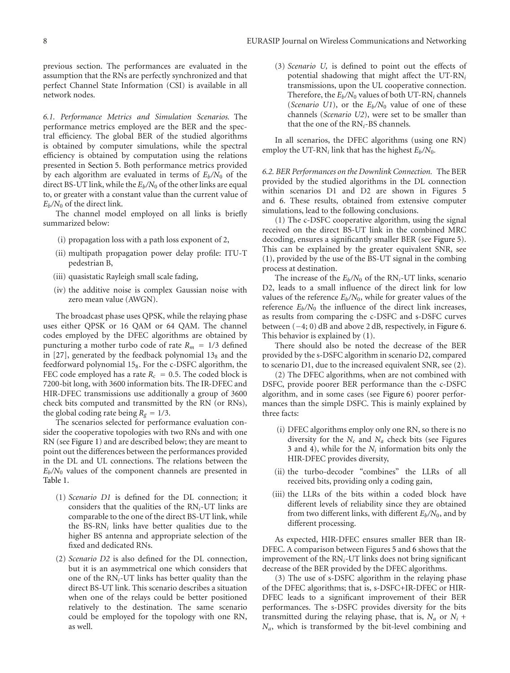previous section. The performances are evaluated in the assumption that the RNs are perfectly synchronized and that perfect Channel State Information (CSI) is available in all network nodes.

*6.1. Performance Metrics and Simulation Scenarios.* The performance metrics employed are the BER and the spectral efficiency. The global BER of the studied algorithms is obtained by computer simulations, while the spectral efficiency is obtained by computation using the relations presented in [Section 5.](#page-6-0) Both performance metrics provided by each algorithm are evaluated in terms of  $E_b/N_0$  of the direct BS-UT link, while the *Eb/N*<sup>0</sup> of the other links are equal to, or greater with a constant value than the current value of  $E_b/N_0$  of the direct link.

The channel model employed on all links is briefly summarized below:

- (i) propagation loss with a path loss exponent of 2,
- (ii) multipath propagation power delay profile: ITU-T pedestrian B,
- (iii) quasistatic Rayleigh small scale fading,
- (iv) the additive noise is complex Gaussian noise with zero mean value (AWGN).

The broadcast phase uses QPSK, while the relaying phase uses either QPSK or 16 QAM or 64 QAM. The channel codes employed by the DFEC algorithms are obtained by puncturing a mother turbo code of rate  $R_m = 1/3$  defined in  $[27]$  $[27]$ , generated by the feedback polynomial  $13<sub>8</sub>$  and the feedforward polynomial 158. For the c-DSFC algorithm, the FEC code employed has a rate  $R_c = 0.5$ . The coded block is 7200-bit long, with 3600 information bits. The IR-DFEC and HIR-DFEC transmissions use additionally a group of 3600 check bits computed and transmitted by the RN (or RNs), the global coding rate being  $R_g = 1/3$ .

The scenarios selected for performance evaluation consider the cooperative topologies with two RNs and with one RN (see [Figure 1\)](#page-2-1) and are described below; they are meant to point out the differences between the performances provided in the DL and UL connections. The relations between the  $E_b/N_0$  values of the component channels are presented in [Table 1.](#page-8-0)

- (1) *Scenario D1* is defined for the DL connection; it considers that the qualities of the RN*i*-UT links are comparable to the one of the direct BS-UT link, while the  $BS-RN_i$  links have better qualities due to the higher BS antenna and appropriate selection of the fixed and dedicated RNs.
- (2) *Scenario D2* is also defined for the DL connection, but it is an asymmetrical one which considers that one of the RN*i*-UT links has better quality than the direct BS-UT link. This scenario describes a situation when one of the relays could be better positioned relatively to the destination. The same scenario could be employed for the topology with one RN, as well.

(3) *Scenario U,* is defined to point out the effects of potential shadowing that might affect the UT-RN*<sup>i</sup>* transmissions, upon the UL cooperative connection. Therefore, the  $E_b/N_0$  values of both UT-RN<sub>i</sub> channels (*Scenario U1*), or the  $E_b/N_0$  value of one of these channels (*Scenario U2*), were set to be smaller than that the one of the RN*i*-BS channels.

In all scenarios, the DFEC algorithms (using one RN) employ the UT-RN<sub>i</sub> link that has the highest  $E_b/N_0$ .

*6.2. BER Performances on the Downlink Connection.* The BER provided by the studied algorithms in the DL connection within scenarios D1 and D2 are shown in Figures [5](#page-8-1) and [6.](#page-8-2) These results, obtained from extensive computer simulations, lead to the following conclusions.

(1) The c-DSFC cooperative algorithm, using the signal received on the direct BS-UT link in the combined MRC decoding, ensures a significantly smaller BER (see [Figure 5\)](#page-8-1). This can be explained by the greater equivalent SNR, see [\(1\)](#page-3-1), provided by the use of the BS-UT signal in the combing process at destination.

The increase of the  $E_b/N_0$  of the  $RN_i$ -UT links, scenario D2, leads to a small influence of the direct link for low values of the reference  $E_b/N_0$ , while for greater values of the reference  $E_b/N_0$  the influence of the direct link increases, as results from comparing the c-DSFC and s-DSFC curves between (−4; 0) dB and above 2 dB, respectively, in [Figure 6.](#page-8-2) This behavior is explained by [\(1\)](#page-3-1).

There should also be noted the decrease of the BER provided by the s-DSFC algorithm in scenario D2, compared to scenario D1, due to the increased equivalent SNR, see [\(2\)](#page-3-2).

(2) The DFEC algorithms, when are not combined with DSFC, provide poorer BER performance than the c-DSFC algorithm, and in some cases (see [Figure 6\)](#page-8-2) poorer performances than the simple DSFC. This is mainly explained by three facts:

- (i) DFEC algorithms employ only one RN, so there is no diversity for the  $N_c$  and  $N_a$  check bits (see Figures [3](#page-5-0) and [4\)](#page-5-1), while for the *Ni* information bits only the HIR-DFEC provides diversity,
- (ii) the turbo-decoder "combines" the LLRs of all received bits, providing only a coding gain,
- (iii) the LLRs of the bits within a coded block have different levels of reliability since they are obtained from two different links, with different  $E_b/N_0$ , and by different processing.

As expected, HIR-DFEC ensures smaller BER than IR-DFEC. A comparison between Figures [5](#page-8-1) and [6](#page-8-2) shows that the improvement of the RN*i*-UT links does not bring significant decrease of the BER provided by the DFEC algorithms.

(3) The use of s-DSFC algorithm in the relaying phase of the DFEC algorithms; that is, s-DSFC+IR-DFEC or HIR-DFEC leads to a significant improvement of their BER performances. The s-DSFC provides diversity for the bits transmitted during the relaying phase, that is,  $N_a$  or  $N_i$  + *Na*, which is transformed by the bit-level combining and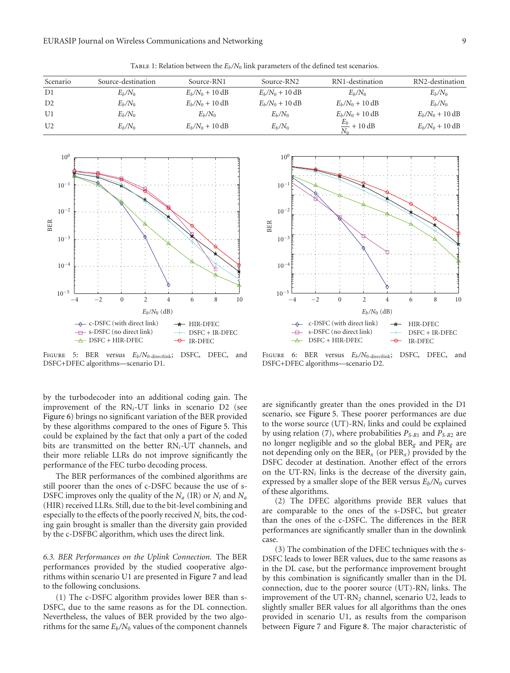| Scenario       | Source-destination | Source-RN1        | Source-RN2        | RN1-destination                   | RN2-destination   |
|----------------|--------------------|-------------------|-------------------|-----------------------------------|-------------------|
| D <sub>1</sub> | $E_h/N_0$          | $E_h/N_0 + 10$ dB | $E_h/N_0 + 10$ dB | $E_h/N_0$                         | $E_b/N_0$         |
| D2             | $E_b/N_0$          | $E_b/N_0 + 10$ dB | $E_h/N_0 + 10$ dB | $E_h/N_0 + 10$ dB                 | $E_h/N_0$         |
| U1             | $E_b/N_0$          | $E_b/N_0$         | $E_b/N_0$         | $E_b/N_0 + 10$ dB                 | $E_b/N_0 + 10$ dB |
| U <sub>2</sub> | $E_h/N_0$          | $E_h/N_0 + 10$ dB | $E_b/N_0$         | $\frac{E_b}{N_0} + 10 \text{ dB}$ | $E_b/N_0 + 10$ dB |

<span id="page-8-0"></span>TABLE 1: Relation between the  $E_b/N_0$  link parameters of the defined test scenarios.



<span id="page-8-1"></span>FIGURE 5: BER versus  $E_b/N_{0\text{-directionk}}$ ; DSFC, DFEC, and DSFC+DFEC algorithms—scenario D1.

by the turbodecoder into an additional coding gain. The improvement of the RN*i*-UT links in scenario D2 (see [Figure 6\)](#page-8-2) brings no significant variation of the BER provided by these algorithms compared to the ones of [Figure 5.](#page-8-1) This could be explained by the fact that only a part of the coded bits are transmitted on the better RN*i*-UT channels, and their more reliable LLRs do not improve significantly the performance of the FEC turbo decoding process.

The BER performances of the combined algorithms are still poorer than the ones of c-DSFC because the use of s-DSFC improves only the quality of the *Na* (IR) or *Ni* and *Na* (HIR) received LLRs. Still, due to the bit-level combining and especially to the effects of the poorly received  $N_c$  bits, the coding gain brought is smaller than the diversity gain provided by the c-DSFBC algorithm, which uses the direct link.

<span id="page-8-3"></span>*6.3. BER Performances on the Uplink Connection.* The BER performances provided by the studied cooperative algorithms within scenario U1 are presented in [Figure 7](#page-9-0) and lead to the following conclusions.

(1) The c-DSFC algorithm provides lower BER than s-DSFC, due to the same reasons as for the DL connection. Nevertheless, the values of BER provided by the two algorithms for the same  $E_b/N_0$  values of the component channels



<span id="page-8-2"></span>FIGURE 6: BER versus  $E_b/N_0$ -directlink; DSFC, DFEC, and DSFC+DFEC algorithms—scenario D2.

are significantly greater than the ones provided in the D1 scenario, see [Figure 5.](#page-8-1) These poorer performances are due to the worse source (UT)-RN*<sup>i</sup>* links and could be explained by using relation [\(7\)](#page-5-2), where probabilities *PS*-*R*<sup>1</sup> and *PS*-*R*<sup>2</sup> are no longer negligible and so the global BER*<sup>g</sup>* and PER*<sup>g</sup>* are not depending only on the BER*<sup>x</sup>* (or PER*x*) provided by the DSFC decoder at destination. Another effect of the errors on the UT-RN*<sup>i</sup>* links is the decrease of the diversity gain, expressed by a smaller slope of the BER versus  $E_b/N_0$  curves of these algorithms.

(2) The DFEC algorithms provide BER values that are comparable to the ones of the s-DSFC, but greater than the ones of the c-DSFC. The differences in the BER performances are significantly smaller than in the downlink case.

(3) The combination of the DFEC techniques with the s-DSFC leads to lower BER values, due to the same reasons as in the DL case, but the performance improvement brought by this combination is significantly smaller than in the DL connection, due to the poorer source (UT)-RN*<sup>i</sup>* links. The improvement of the UT-RN<sub>2</sub> channel, scenario U2, leads to slightly smaller BER values for all algorithms than the ones provided in scenario U1, as results from the comparison between [Figure 7](#page-9-0) and [Figure 8.](#page-9-1) The major characteristic of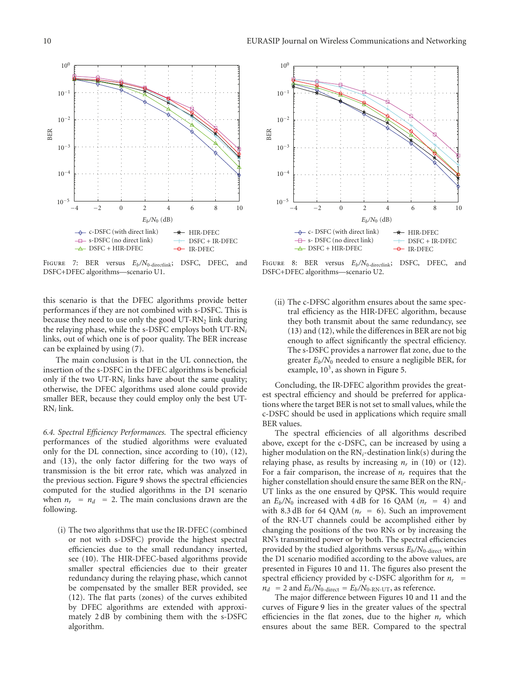

<span id="page-9-0"></span>FIGURE 7: BER versus  $E_b/N_{0\text{-directlink}}$ ; DSFC, DFEC, and DSFC+DFEC algorithms—scenario U1.

this scenario is that the DFEC algorithms provide better performances if they are not combined with s-DSFC. This is because they need to use only the good UT-RN<sub>2</sub> link during the relaying phase, while the s-DSFC employs both UT-RN*<sup>i</sup>* links, out of which one is of poor quality. The BER increase can be explained by using [\(7\)](#page-5-2).

The main conclusion is that in the UL connection, the insertion of the s-DSFC in the DFEC algorithms is beneficial only if the two UT-RN*<sup>i</sup>* links have about the same quality; otherwise, the DFEC algorithms used alone could provide smaller BER, because they could employ only the best UT-RN*<sup>i</sup>* link.

*6.4. Spectral Efficiency Performances.* The spectral efficiency performances of the studied algorithms were evaluated only for the DL connection, since according to [\(10\)](#page-6-5), [\(12\)](#page-6-3), and [\(13\)](#page-6-4), the only factor differing for the two ways of transmission is the bit error rate, which was analyzed in the previous section. [Figure 9](#page-10-1) shows the spectral efficiencies computed for the studied algorithms in the D1 scenario when  $n_r = n_d = 2$ . The main conclusions drawn are the following.

(i) The two algorithms that use the IR-DFEC (combined or not with s-DSFC) provide the highest spectral efficiencies due to the small redundancy inserted, see [\(10\)](#page-6-5). The HIR-DFEC-based algorithms provide smaller spectral efficiencies due to their greater redundancy during the relaying phase, which cannot be compensated by the smaller BER provided, see [\(12\)](#page-6-3). The flat parts (zones) of the curves exhibited by DFEC algorithms are extended with approximately 2 dB by combining them with the s-DSFC algorithm.



<span id="page-9-1"></span>FIGURE 8: BER versus  $E_b/N_{0\text{-directlink}}$ ; DSFC, DFEC, and DSFC+DFEC algorithms—scenario U2.

(ii) The c-DFSC algorithm ensures about the same spectral efficiency as the HIR-DFEC algorithm, because they both transmit about the same redundancy, see [\(13\)](#page-6-4) and [\(12\)](#page-6-3), while the differences in BER are not big enough to affect significantly the spectral efficiency. The s-DSFC provides a narrower flat zone, due to the greater  $E_b/N_0$  needed to ensure a negligible BER, for example,  $10<sup>3</sup>$ , as shown in [Figure 5.](#page-8-1)

Concluding, the IR-DFEC algorithm provides the greatest spectral efficiency and should be preferred for applications where the target BER is not set to small values, while the c-DSFC should be used in applications which require small BER values.

The spectral efficiencies of all algorithms described above, except for the c-DSFC, can be increased by using a higher modulation on the RN*i*-destination link(s) during the relaying phase, as results by increasing  $n_r$  in [\(10\)](#page-6-5) or [\(12\)](#page-6-3). For a fair comparison, the increase of  $n_r$  requires that the higher constellation should ensure the same BER on the RN*i*-UT links as the one ensured by QPSK. This would require an  $E_b/N_0$  increased with 4 dB for 16 QAM ( $n_r = 4$ ) and with 8.3 dB for 64 QAM ( $n_r = 6$ ). Such an improvement of the RN-UT channels could be accomplished either by changing the positions of the two RNs or by increasing the RN's transmitted power or by both. The spectral efficiencies provided by the studied algorithms versus  $E_b/N_{0\text{-direct}}$  within the D1 scenario modified according to the above values, are presented in Figures [10](#page-10-2) and [11.](#page-10-3) The figures also present the spectral efficiency provided by c-DSFC algorithm for  $n_r$  =  $n_d$  = 2 and  $E_b/N_{0\text{-direct}} = E_b/N_{0\text{-RN-UT}}$ , as reference.

The major difference between Figures [10](#page-10-2) and [11](#page-10-3) and the curves of [Figure 9](#page-10-1) lies in the greater values of the spectral efficiencies in the flat zones, due to the higher  $n_r$  which ensures about the same BER. Compared to the spectral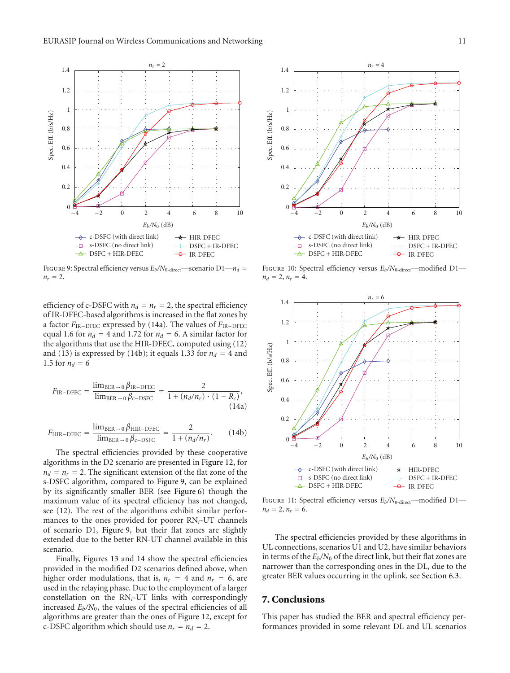

<span id="page-10-1"></span>FIGURE 9: Spectral efficiency versus  $E_b/N_{0\text{-direct}}$ —scenario D1— $n_d$  =  $n_r = 2$ .

efficiency of c-DSFC with  $n_d = n_r = 2$ , the spectral efficiency of IR-DFEC-based algorithms is increased in the flat zones by a factor *F*IR−DFEC expressed by [\(14a\)](#page-10-4). The values of *F*IR−DFEC equal 1.6 for  $n_d = 4$  and 1.72 for  $n_d = 6$ . A similar factor for the algorithms that use the HIR-DFEC, computed using [\(12\)](#page-6-3) and [\(13\)](#page-6-4) is expressed by [\(14b\)](#page-10-5); it equals 1.33 for  $n_d = 4$  and 1.5 for  $n_d = 6$ 

$$
F_{\text{IR}-\text{DFEC}} = \frac{\lim_{\text{BER}\to 0} \beta_{\text{IR}-\text{DFEC}}}{\lim_{\text{BER}\to 0} \beta_{\text{c}-\text{DSFC}}} = \frac{2}{1 + (n_d/n_r) \cdot (1 - R_c)},
$$
\n(14a)

$$
F_{\text{HIR-DFEC}} = \frac{\lim_{\text{BER} \to 0} \beta_{\text{HIR-DFEC}}}{\lim_{\text{BER} \to 0} \beta_{\text{c-DSFC}}} = \frac{2}{1 + (n_d/n_r)}.
$$
 (14b)

The spectral efficiencies provided by these cooperative algorithms in the D2 scenario are presented in [Figure 12,](#page-11-0) for  $n_d = n_r = 2$ . The significant extension of the flat zone of the s-DSFC algorithm, compared to [Figure 9,](#page-10-1) can be explained by its significantly smaller BER (see [Figure 6\)](#page-8-2) though the maximum value of its spectral efficiency has not changed, see [\(12\)](#page-6-3). The rest of the algorithms exhibit similar performances to the ones provided for poorer RN*i*-UT channels of scenario D1, [Figure 9,](#page-10-1) but their flat zones are slightly extended due to the better RN-UT channel available in this scenario.

Finally, Figures [13](#page-11-1) and [14](#page-11-2) show the spectral efficiencies provided in the modified D2 scenarios defined above, when higher order modulations, that is,  $n_r = 4$  and  $n_r = 6$ , are used in the relaying phase. Due to the employment of a larger constellation on the RN*i*-UT links with correspondingly increased  $E_b/N_0$ , the values of the spectral efficiencies of all algorithms are greater than the ones of [Figure 12,](#page-11-0) except for c-DSFC algorithm which should use  $n_r = n_d = 2$ .



<span id="page-10-2"></span>FIGURE 10: Spectral efficiency versus  $E_b/N_{0\text{-direct}}$ —modified D1  $n_d = 2, n_r = 4.$ 



<span id="page-10-5"></span><span id="page-10-4"></span><span id="page-10-3"></span>FIGURE 11: Spectral efficiency versus  $E_b/N_{0\text{-direct}}$ —modified D1  $n_d = 2, n_r = 6.$ 

The spectral efficiencies provided by these algorithms in UL connections, scenarios U1 and U2, have similar behaviors in terms of the  $E_b/N_0$  of the direct link, but their flat zones are narrower than the corresponding ones in the DL, due to the greater BER values occurring in the uplink, see [Section 6.3.](#page-8-3)

### <span id="page-10-0"></span>**7. Conclusions**

This paper has studied the BER and spectral efficiency performances provided in some relevant DL and UL scenarios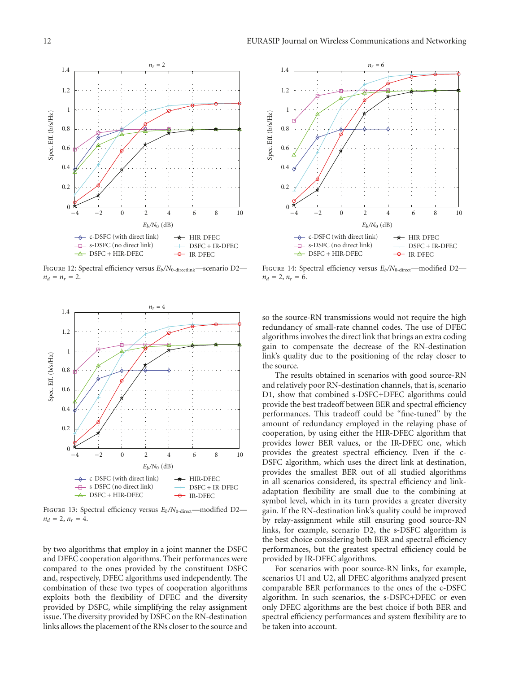

<span id="page-11-0"></span>FIGURE 12: Spectral efficiency versus  $E_b/N_{0\text{-directlink}}$ —scenario D2  $n_d = n_r = 2$ .



<span id="page-11-1"></span>FIGURE 13: Spectral efficiency versus  $E_b/N_{0\text{-direct}}$ —modified D2  $n_d = 2, n_r = 4.$ 

by two algorithms that employ in a joint manner the DSFC and DFEC cooperation algorithms. Their performances were compared to the ones provided by the constituent DSFC and, respectively, DFEC algorithms used independently. The combination of these two types of cooperation algorithms exploits both the flexibility of DFEC and the diversity provided by DSFC, while simplifying the relay assignment issue. The diversity provided by DSFC on the RN-destination links allows the placement of the RNs closer to the source and



<span id="page-11-2"></span>FIGURE 14: Spectral efficiency versus  $E_b/N_{0\text{-direct}}$ —modified D2  $n_d = 2, n_r = 6.$ 

so the source-RN transmissions would not require the high redundancy of small-rate channel codes. The use of DFEC algorithms involves the direct link that brings an extra coding gain to compensate the decrease of the RN-destination link's quality due to the positioning of the relay closer to the source.

The results obtained in scenarios with good source-RN and relatively poor RN-destination channels, that is, scenario D1, show that combined s-DSFC+DFEC algorithms could provide the best tradeoff between BER and spectral efficiency performances. This tradeoff could be "fine-tuned" by the amount of redundancy employed in the relaying phase of cooperation, by using either the HIR-DFEC algorithm that provides lower BER values, or the IR-DFEC one, which provides the greatest spectral efficiency. Even if the c-DSFC algorithm, which uses the direct link at destination, provides the smallest BER out of all studied algorithms in all scenarios considered, its spectral efficiency and linkadaptation flexibility are small due to the combining at symbol level, which in its turn provides a greater diversity gain. If the RN-destination link's quality could be improved by relay-assignment while still ensuring good source-RN links, for example, scenario D2, the s-DSFC algorithm is the best choice considering both BER and spectral efficiency performances, but the greatest spectral efficiency could be provided by IR-DFEC algorithms.

For scenarios with poor source-RN links, for example, scenarios U1 and U2, all DFEC algorithms analyzed present comparable BER performances to the ones of the c-DSFC algorithm. In such scenarios, the s-DSFC+DFEC or even only DFEC algorithms are the best choice if both BER and spectral efficiency performances and system flexibility are to be taken into account.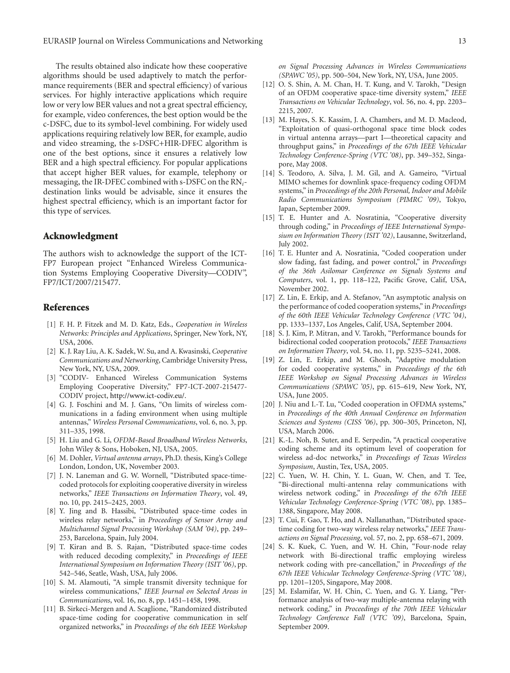The results obtained also indicate how these cooperative algorithms should be used adaptively to match the performance requirements (BER and spectral efficiency) of various services. For highly interactive applications which require low or very low BER values and not a great spectral efficiency, for example, video conferences, the best option would be the c-DSFC, due to its symbol-level combining. For widely used applications requiring relatively low BER, for example, audio and video streaming, the s-DSFC+HIR-DFEC algorithm is one of the best options, since it ensures a relatively low BER and a high spectral efficiency. For popular applications that accept higher BER values, for example, telephony or messaging, the IR-DFEC combined with s-DSFC on the RN*i*destination links would be advisable, since it ensures the highest spectral efficiency, which is an important factor for this type of services.

## **Acknowledgment**

The authors wish to acknowledge the support of the ICT-FP7 European project "Enhanced Wireless Communication Systems Employing Cooperative Diversity—CODIV", FP7/ICT/2007/215477.

## <span id="page-12-0"></span>**References**

- <span id="page-12-1"></span>[1] F. H. P. Fitzek and M. D. Katz, Eds., *Cooperation in Wireless Networks: Principles and Applications*, Springer, New York, NY, USA, 2006.
- [2] K. J. Ray Liu, A. K. Sadek, W. Su, and A. Kwasinski, *Cooperative Communications and Networking*, Cambridge University Press, New York, NY, USA, 2009.
- <span id="page-12-2"></span>[3] "CODIV- Enhanced Wireless Communication Systems Employing Cooperative Diversity," FP7-ICT-2007-215477- CODIV project, [http://www.ict-codiv.eu/.](http://www.ict-codiv.eu/)
- <span id="page-12-3"></span>[4] G. J. Foschini and M. J. Gans, "On limits of wireless communications in a fading environment when using multiple antennas," *Wireless Personal Communications*, vol. 6, no. 3, pp. 311–335, 1998.
- <span id="page-12-4"></span>[5] H. Liu and G. Li, *OFDM-Based Broadband Wireless Networks*, John Wiley & Sons, Hoboken, NJ, USA, 2005.
- <span id="page-12-5"></span>[6] M. Dohler, *Virtual antenna arrays*, Ph.D. thesis, King's College London, London, UK, November 2003.
- <span id="page-12-6"></span>[7] J. N. Laneman and G. W. Wornell, "Distributed space-timecoded protocols for exploiting cooperative diversity in wireless networks," *IEEE Transactions on Information Theory*, vol. 49, no. 10, pp. 2415–2425, 2003.
- <span id="page-12-7"></span>[8] Y. Jing and B. Hassibi, "Distributed space-time codes in wireless relay networks," in *Proceedings of Sensor Array and Multichannel Signal Processing Workshop (SAM '04)*, pp. 249– 253, Barcelona, Spain, July 2004.
- <span id="page-12-8"></span>[9] T. Kiran and B. S. Rajan, "Distributed space-time codes with reduced decoding complexity," in *Proceedings of IEEE International Symposium on Information Theory (ISIT '06)*, pp. 542–546, Seatle, Wash, USA, July 2006.
- <span id="page-12-9"></span>[10] S. M. Alamouti, "A simple transmit diversity technique for wireless communications," *IEEE Journal on Selected Areas in Communications*, vol. 16, no. 8, pp. 1451–1458, 1998.
- <span id="page-12-10"></span>[11] B. Sirkeci-Mergen and A. Scaglione, "Randomized distributed space-time coding for cooperative communication in self organized networks," in *Proceedings of the 6th IEEE Workshop*

*on Signal Processing Advances in Wireless Communications (SPAWC '05)*, pp. 500–504, New York, NY, USA, June 2005.

- <span id="page-12-11"></span>[12] O. S. Shin, A. M. Chan, H. T. Kung, and V. Tarokh, "Design of an OFDM cooperative space-time diversity system," *IEEE Transactions on Vehicular Technology*, vol. 56, no. 4, pp. 2203– 2215, 2007.
- <span id="page-12-12"></span>[13] M. Hayes, S. K. Kassim, J. A. Chambers, and M. D. Macleod, "Exploitation of quasi-orthogonal space time block codes in virtual antenna arrays—part I—theoretical capacity and throughput gains," in *Proceedings of the 67th IEEE Vehicular Technology Conference-Spring (VTC '08)*, pp. 349–352, Singapore, May 2008.
- <span id="page-12-13"></span>[14] S. Teodoro, A. Silva, J. M. Gil, and A. Gameiro, "Virtual MIMO schemes for downlink space-frequency coding OFDM systems," in *Proceedings of the 20th Personal, Indoor and Mobile Radio Communications Symposium (PIMRC '09)*, Tokyo, Japan, September 2009.
- <span id="page-12-14"></span>[15] T. E. Hunter and A. Nosratinia, "Cooperative diversity through coding," in *Proceedings of IEEE International Symposium on Information Theory (ISIT '02)*, Lausanne, Switzerland, July 2002.
- <span id="page-12-15"></span>[16] T. E. Hunter and A. Nosratinia, "Coded cooperation under slow fading, fast fading, and power control," in *Proceedings of the 36th Asilomar Conference on Signals Systems and Computers*, vol. 1, pp. 118–122, Pacific Grove, Calif, USA, November 2002.
- <span id="page-12-16"></span>[17] Z. Lin, E. Erkip, and A. Stefanov, "An asymptotic analysis on the performance of coded cooperation systems," in *Proceedings of the 60th IEEE Vehicular Technology Conference (VTC '04)*, pp. 1333–1337, Los Angeles, Calif, USA, September 2004.
- <span id="page-12-17"></span>[18] S. J. Kim, P. Mitran, and V. Tarokh, "Performance bounds for bidirectional coded cooperation protocols," *IEEE Transactions on Information Theory*, vol. 54, no. 11, pp. 5235–5241, 2008.
- <span id="page-12-18"></span>[19] Z. Lin, E. Erkip, and M. Ghosh, "Adaptive modulation for coded cooperative systems," in *Proceedings of the 6th IEEE Workshop on Signal Processing Advances in Wireless Communications (SPAWC '05)*, pp. 615–619, New York, NY, USA, June 2005.
- <span id="page-12-19"></span>[20] J. Niu and I.-T. Lu, "Coded cooperation in OFDMA systems," in *Proceedings of the 40th Annual Conference on Information Sciences and Systems (CISS '06)*, pp. 300–305, Princeton, NJ, USA, March 2006.
- <span id="page-12-20"></span>[21] K.-L. Noh, B. Suter, and E. Serpedin, "A practical cooperative coding scheme and its optimum level of cooperation for wireless ad-doc networks," in *Proceedings of Texas Wireless Symposium*, Austin, Tex, USA, 2005.
- <span id="page-12-21"></span>[22] C. Yuen, W. H. Chin, Y. L. Guan, W. Chen, and T. Tee, "Bi-directional multi-antenna relay communications with wireless network coding," in *Proceedings of the 67th IEEE Vehicular Technology Conference-Spring (VTC '08)*, pp. 1385– 1388, Singapore, May 2008.
- [23] T. Cui, F. Gao, T. Ho, and A. Nallanathan, "Distributed spacetime coding for two-way wireless relay networks," *IEEE Transactions on Signal Processing*, vol. 57, no. 2, pp. 658–671, 2009.
- [24] S. K. Kuek, C. Yuen, and W. H. Chin, "Four-node relay network with Bi-directional traffic employing wireless network coding with pre-cancellation," in *Proceedings of the 67th IEEE Vehicular Technology Conference-Spring (VTC '08)*, pp. 1201–1205, Singapore, May 2008.
- <span id="page-12-22"></span>[25] M. Eslamifar, W. H. Chin, C. Yuen, and G. Y. Liang, "Performance analysis of two-way multiple-antenna relaying with network coding," in *Proceedings of the 70th IEEE Vehicular Technology Conference Fall (VTC '09)*, Barcelona, Spain, September 2009.